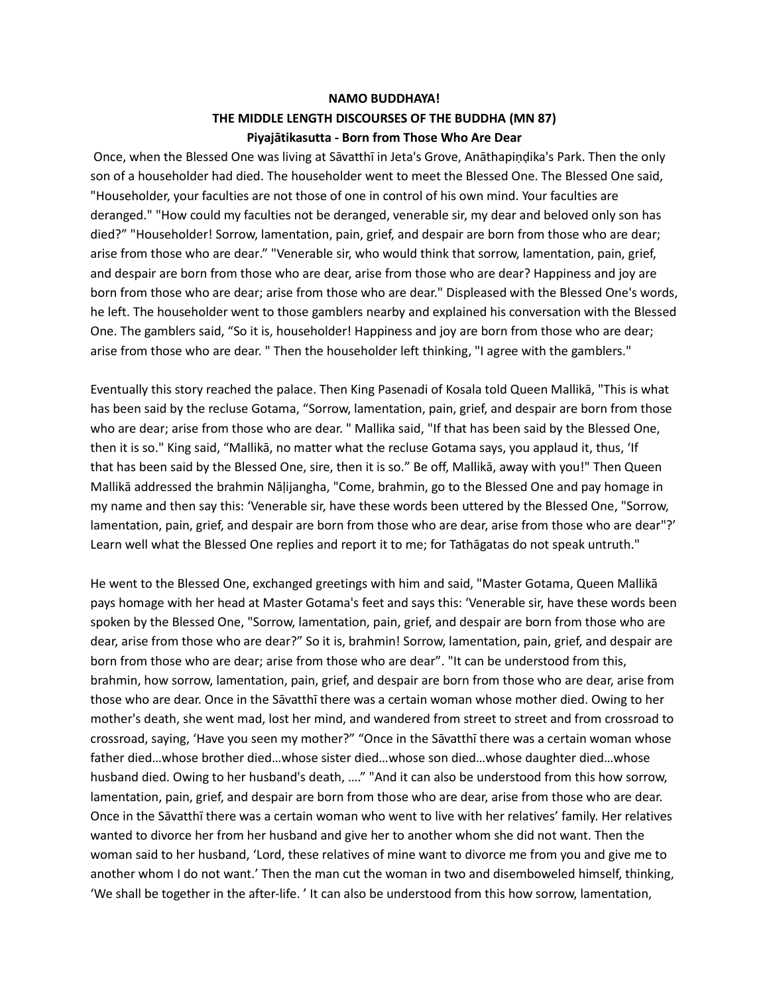## **NAMO BUDDHAYA! THE MIDDLE LENGTH DISCOURSES OF THE BUDDHA (MN 87) Piyajātikasutta - Born from Those Who Are Dear**

Once, when the Blessed One was living at Sav̄atthī in Jeta's Grove, Anāthapiṇḍika's Park. Then the only son of a householder had died. The householder went to meet the Blessed One. The Blessed One said, "Householder, your faculties are not those of one in control of his own mind. Your faculties are deranged." "How could my faculties not be deranged, venerable sir, my dear and beloved only son has died?" "Householder! Sorrow, lamentation, pain, grief, and despair are born from those who are dear; arise from those who are dear." "Venerable sir, who would think that sorrow, lamentation, pain, grief, and despair are born from those who are dear, arise from those who are dear? Happiness and joy are born from those who are dear; arise from those who are dear." Displeased with the Blessed One's words, he left. The householder went to those gamblers nearby and explained his conversation with the Blessed One. The gamblers said, "So it is, householder! Happiness and joy are born from those who are dear; arise from those who are dear. " Then the householder left thinking, "I agree with the gamblers."

Eventually this story reached the palace. Then King Pasenadi of Kosala told Queen Mallikā, "This is what has been said by the recluse Gotama, "Sorrow, lamentation, pain, grief, and despair are born from those who are dear; arise from those who are dear. " Mallika said, "If that has been said by the Blessed One, then it is so." King said, "Mallikā, no matter what the recluse Gotama says, you applaud it, thus, 'If that has been said by the Blessed One, sire, then it is so." Be off, Mallikā, away with you!" Then Queen Mallikāaddressed the brahmin Nāḷijangha, "Come, brahmin, go to the Blessed One and pay homage in my name and then say this: 'Venerable sir, have these words been uttered by the Blessed One, "Sorrow, lamentation, pain, grief, and despair are born from those who are dear, arise from those who are dear"?' Learn well what the Blessed One replies and report it to me; for Tathāgatas do not speak untruth."

He went to the Blessed One, exchanged greetings with him and said, "Master Gotama, Queen Mallikā pays homage with her head at Master Gotama's feet and says this: 'Venerable sir, have these words been spoken by the Blessed One, "Sorrow, lamentation, pain, grief, and despair are born from those who are dear, arise from those who are dear?" So it is, brahmin! Sorrow, lamentation, pain, grief, and despair are born from those who are dear; arise from those who are dear". "It can be understood from this, brahmin, how sorrow, lamentation, pain, grief, and despair are born from those who are dear, arise from those who are dear. Once in the Sav̄atthī there was a certain woman whose mother died. Owing to her mother's death, she went mad, lost her mind, and wandered from street to street and from crossroad to crossroad, saying, 'Have you seen my mother?" "Once in the Savatthī there was a certain woman whose father died…whose brother died…whose sister died…whose son died…whose daughter died…whose husband died. Owing to her husband's death, ...." "And it can also be understood from this how sorrow, lamentation, pain, grief, and despair are born from those who are dear, arise from those who are dear. Once in the Sāvatthī there was a certain woman who went to live with her relatives' family. Her relatives wanted to divorce her from her husband and give her to another whom she did not want. Then the woman said to her husband, 'Lord, these relatives of mine want to divorce me from you and give me to another whom I do not want.' Then the man cut the woman in two and disemboweled himself, thinking, 'We shall be together in the after-life. ' It can also be understood from this how sorrow, lamentation,